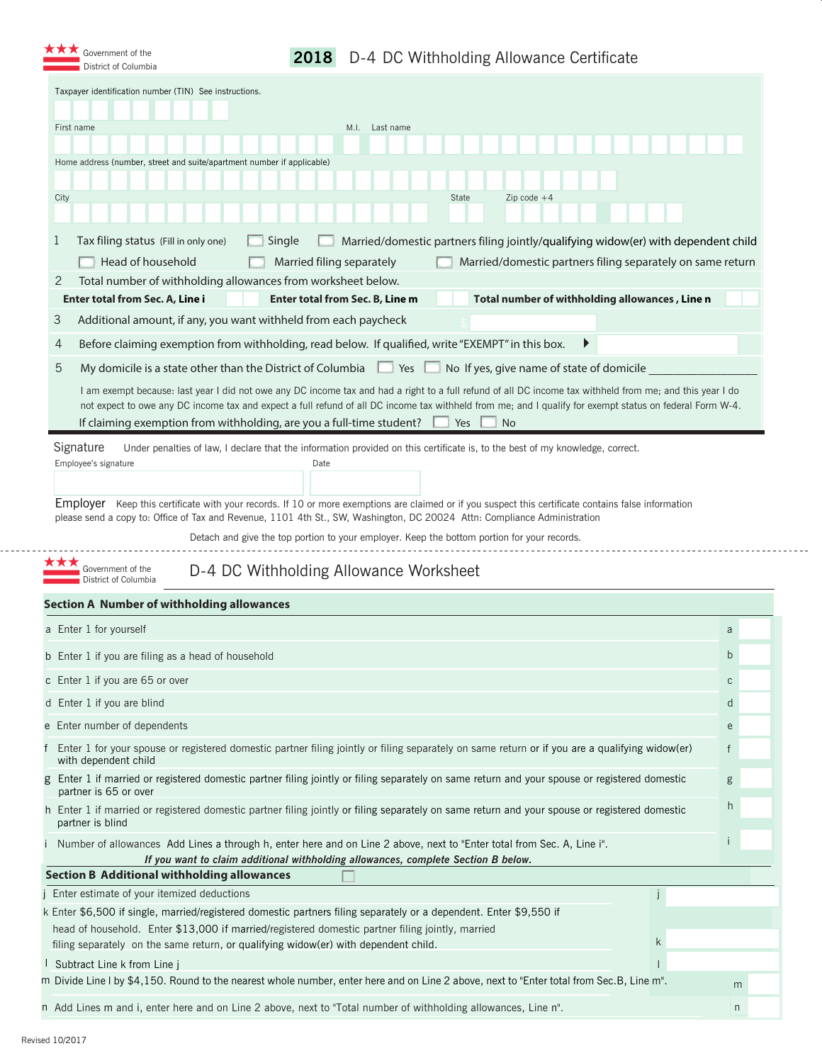| Taxpayer identification number (TIN) See instructions.                                                                                                                                                                                                                                                                                                                                                                                                                |                                                            |                      |
|-----------------------------------------------------------------------------------------------------------------------------------------------------------------------------------------------------------------------------------------------------------------------------------------------------------------------------------------------------------------------------------------------------------------------------------------------------------------------|------------------------------------------------------------|----------------------|
|                                                                                                                                                                                                                                                                                                                                                                                                                                                                       |                                                            |                      |
| First name<br>M.I.<br>Last name                                                                                                                                                                                                                                                                                                                                                                                                                                       |                                                            |                      |
| Home address (number, street and suite/apartment number if applicable)                                                                                                                                                                                                                                                                                                                                                                                                |                                                            |                      |
|                                                                                                                                                                                                                                                                                                                                                                                                                                                                       |                                                            |                      |
| City<br>State<br>Zip code $+4$                                                                                                                                                                                                                                                                                                                                                                                                                                        |                                                            |                      |
|                                                                                                                                                                                                                                                                                                                                                                                                                                                                       |                                                            |                      |
| Tax filing status (Fill in only one)<br>Single<br>Married/domestic partners filing jointly/qualifying widow(er) with dependent child<br>T<br>Head of household<br>Married filing separately                                                                                                                                                                                                                                                                           | Married/domestic partners filing separately on same return |                      |
| 2<br>Total number of withholding allowances from worksheet below.                                                                                                                                                                                                                                                                                                                                                                                                     |                                                            |                      |
| Enter total from Sec. A, Line i<br>Enter total from Sec. B, Line m                                                                                                                                                                                                                                                                                                                                                                                                    | Total number of withholding allowances, Line n             |                      |
| 3<br>Additional amount, if any, you want withheld from each paycheck                                                                                                                                                                                                                                                                                                                                                                                                  |                                                            |                      |
| Before claiming exemption from withholding, read below. If qualified, write "EXEMPT" in this box.<br>4                                                                                                                                                                                                                                                                                                                                                                |                                                            |                      |
| 5<br>My domicile is a state other than the District of Columbia 22 Yes<br>No If yes, give name of state of domicile                                                                                                                                                                                                                                                                                                                                                   |                                                            | $\blacktriangledown$ |
| I am exempt because: last year I did not owe any DC income tax and had a right to a full refund of all DC income tax withheld from me; and this year I do<br>not expect to owe any DC income tax and expect a full refund of all DC income tax withheld from me; and I qualify for exempt status on federal Form W-4.<br>If claiming exemption from withholding, are you a full-time student?<br>Yes<br><b>No</b>                                                     |                                                            |                      |
| Signature<br>Under penalties of law, I declare that the information provided on this certificate is, to the best of my knowledge, correct.<br>Employee's signature<br>Date<br><b>Employer</b> Keep this certificate with your records. If 10 or more exemptions are claimed or if you suspect this certificate contains false information<br>please send a copy to: Office of Tax and Revenue, 1101 4th St., SW, Washington, DC 20024 Attn: Compliance Administration |                                                            |                      |
| Detach and give the top portion to your employer. Keep the bottom portion for your records.<br>Government of the<br>D-4 DC Withholding Allowance Worksheet<br>District of Columbia                                                                                                                                                                                                                                                                                    |                                                            |                      |
|                                                                                                                                                                                                                                                                                                                                                                                                                                                                       |                                                            |                      |
|                                                                                                                                                                                                                                                                                                                                                                                                                                                                       | a                                                          |                      |
|                                                                                                                                                                                                                                                                                                                                                                                                                                                                       | b                                                          |                      |
|                                                                                                                                                                                                                                                                                                                                                                                                                                                                       | C                                                          |                      |
|                                                                                                                                                                                                                                                                                                                                                                                                                                                                       | d                                                          |                      |
|                                                                                                                                                                                                                                                                                                                                                                                                                                                                       | e                                                          |                      |
| Enter 1 for your spouse or registered domestic partner filing jointly or filing separately on same return or if you are a qualifying widow(er)<br>with dependent child                                                                                                                                                                                                                                                                                                | $\mathsf{f}$                                               |                      |
| Enter 1 if married or registered domestic partner filing jointly or filing separately on same return and your spouse or registered domestic<br>partner is 65 or over                                                                                                                                                                                                                                                                                                  | g                                                          |                      |
| partner is blind                                                                                                                                                                                                                                                                                                                                                                                                                                                      | h                                                          |                      |
| Number of allowances Add Lines a through h, enter here and on Line 2 above, next to "Enter total from Sec. A, Line i".<br>If you want to claim additional withholding allowances, complete Section B below.                                                                                                                                                                                                                                                           |                                                            |                      |
| <b>Section A Number of withholding allowances</b><br>a Enter 1 for yourself<br>b Enter 1 if you are filing as a head of household<br>c Enter 1 if you are 65 or over<br>d Enter 1 if you are blind<br>e Enter number of dependents<br>h Enter 1 if married or registered domestic partner filing jointly or filing separately on same return and your spouse or registered domestic<br><b>Section B Additional withholding allowances</b>                             |                                                            |                      |
| Enter estimate of your itemized deductions<br>k Enter \$6,500 if single, married/registered domestic partners filing separately or a dependent. Enter \$9,550 if                                                                                                                                                                                                                                                                                                      |                                                            |                      |

n

n Add Lines m and i, enter here and on Line 2 above, next to "Total number of withholding allowances, Line n".